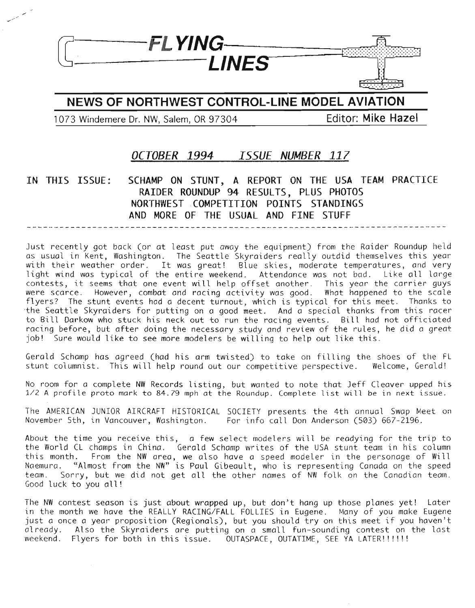

# **NEWS OF NORTHWEST CONTROL-LINE MODEL AVIATION**

1073 Windemere Dr. **NW,** Salem, OR 97304 **Editor: Mike Hazel**

# **OCTOBER 1994** *ISSUE NUMBER* **117**

## **IN THIS ISSUE: SCHAMP ON STUNT, A REPORT ON THE USA TEAM PRACTICE RAIDER ROUNDUP 94 RESULTS, PLUS PHOTOS NORTHWEST COMPETITION POINTS STANDINGS AND MORE OF THE USUAL AND FINE STUFF**

Just recently got back (or at least put away the equipment) from the Raider Roundup held as usual in Kent, Washington. The Seattle Skyraiders really outdid themselves this year with their weather order. It was great! Blue skies, moderate temperatures, and very light wind was typical of the entire weekend. Attendance was not bad. Like all large contests, it seems that one event will help offset another. This year the carrier guys were scarce. However, combat and racing activity was good. What happened to the scale flyers? The stunt events had a decent turnout, which is typical for this meet. Thanks to the Seattle Skyraiders for putting on a good meet. And a special thanks from this racer to Bill Darkow who stuck his neck out to run the racing events. Bill had not officiated racing before, but after doing the necessary study and review of the rules, he did a great job! Sure would like to see more modelers be willing to help out like this.

Gerald Schamp has agreed (had his arm twisted) to take on filling the shoes of the FL stunt columnist. This will help round out our competitive perspective. Welcome, Gerald!

No room for a complete NW Records listing, but wanted to note that Jeff Cleaver upped his 1/2 <sup>A</sup> profile proto mark to 84.79 mph at the Roundup. Complete list will be in next issue.

The AMERICAN JUNIOR AIRCRAFT HISTORICAL SOCIETY presents the 4th annual Swap Meet on November 5th, in Vancouver, Washington. For info call Don Anderson (503) 667-2196.

About the time you receive this, a few select modelers will be readying for the trip to the World CL champs in China. Gerald Schamp writes of the USA stunt team in his column this month. From the NW area, we also have a speed modeler in the personage of Will Naemura. "Almost from the NW» is Paul Gibeault, who is representing Canada on the speed team. Sorry, but we did not get all the other names of NW folk on the Canadian team. Good luck to you all!

The NW contest season is just about wrapped up, but don't hang up those planes yet! Later in the month we have the REALLY RACING/FALL FOLLIES in Eugene. Many of you make Eugene just a once a year proposition (Regionals), but you should try on this meet if you haven't already. Also the Skyraiders are putting on a small fun-sounding contest on the last weekend. Flyers for both in this issue. OUTASPACE, OUTATIME, SEE YA LATER!!!!!!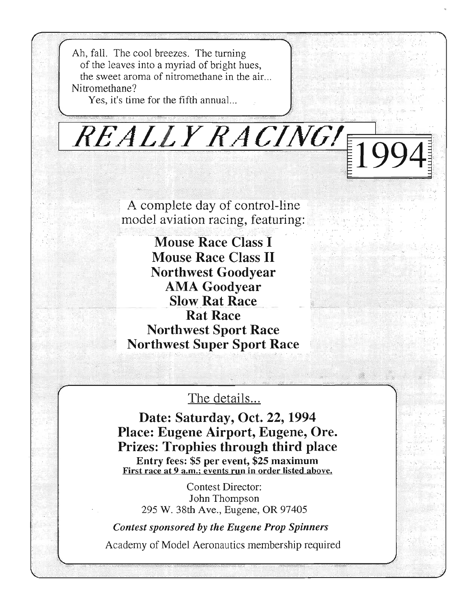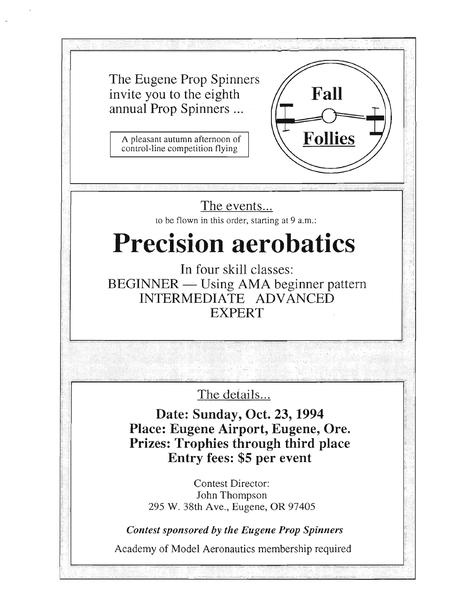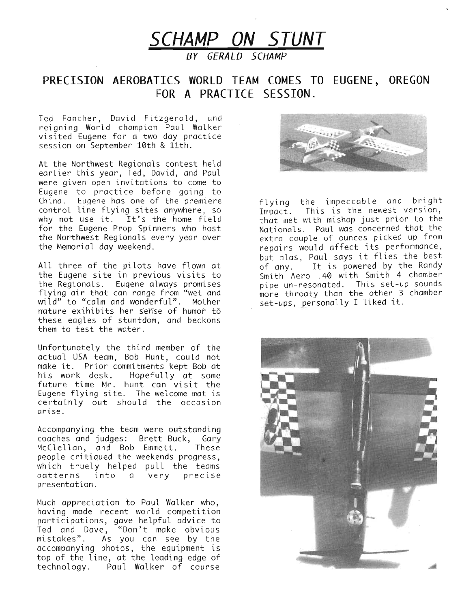

**BY GERALD SCHAMP**

# **PRECISION AEROBATICS WORLD TEAM COMES TO EUGENE, OREGON FOR A PRACTICE SESSION.**

Ted Fancher, David Fitzgerald, and reigning World champion Paul Walker visited Eugene for a two day practice session on September 10th & 11th.

At the Northwest Regionals contest held earlier this year, Ted, David, and Paul were given open invitations to come to Eugene to practice before going to China. Eugene has one of the premiere control line flying sites anywhere, so why not use it. It's the home field for the Eugene Prop Spinners who host the Northwest Regionals every year over the Memorial day weekend.

All three of the pilots have flown at the Eugene site in previous visits to the Regionals. Eugene always promises flying air that can range from "wet and wild" to "calm and wonderful". Mother nature exihibits her sense of humor to these eagles of stuntdom, and beckons them to test the water.

Unfortunately the third member of the actual USA team, Bob Hunt, could not make *it.* Prior commitments kept Bob at Hopefully at some future time Mr. Hunt can visit the Eugene flying site. The welcome mat is certainly out should the occasion arlse.

Accompanying the team were outstanding coaches and judges: Brett Buck, Gary McClellan, and Bob Emmett. These people critiqued the weekends progress, which truely helped pull the teams patterns into a very precise presentation.

Much appreciation to Paul Walker who, having made recent world competition participations, gave helpful advice to Ted and Dave, "Don't make obvious mistakes". Ás you can see by the accompanying photos, the equipment is top of the line, at the leading edge of technology. Paul Walker of course



flying the impeccable and bright  $I$ mpact. This is the newest version, that met with mishap just prior to the Nationals. Paul was concerned that the extra couple of ounces picked up from repairs would affect its performance, but alas. Paul says it flies the best of any. It is powered by the Randy Smith Aero .40 with Smith 4 chamber pipe un-resonated. This set-up sounds more throaty than the other 3 chamber set-ups, personally I liked it.

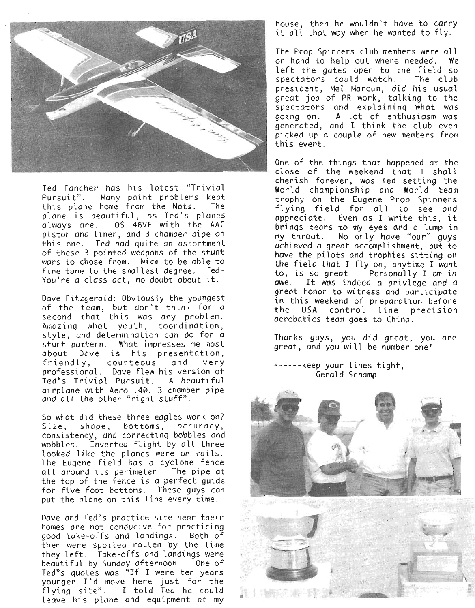

Ted Fancher has his latest "Trivial Pursuit". Many paint problems kept<br>this plane home from the Nats. The this plane home from the Nats. plane is beautiful, as Ted's planes always are. OS 46VF with the AAC piston and liner, and 3 chamber pipe on this one. Ted had quite an assortment of these 3 pointed weapons of the stunt wars to chose from. Nice to be able to fine tune to the smallest degree. Ted-You're a class act, no doubt about it.

Dave Fitzgerald: Obviously the youngest of the team, but don't think for a second that this was any problem. Amazing what youth, coordination, style, and determination can do for a stunt pattern. What impresses me most about Dave is his presentation, friendly, courteous and very professional. Dave flew his version of Ted's Trivial Pursuit. A beautiful airplane with Aero .40, 3 chamber pipe and all the other "right stuff".

So what did these three eagles work on? Size, shape, bottoms, accuracy, consistency, and correcting bobbles and wobbles. Inverted flight by all three looked like the planes were on rails. The Eugene field has a cyclone fence all around its perimeter. The pipe at the top of the fence is a perfect guide for five foot bottoms. These guys can put the plane on this line every time.

Dave and Ted's practice site near their homes are not conducive for practicing good take-offs and landings. Both of them were spoiled rotten by the time they left. Take-offs and landings were beautiful by Sunday afternoon. One of Ted"s quotes was "If I were ten years younger I'd move here just for the flying site". I told Ted he could leave his plane and equipment at my

house, then he wouldn't have to carry it all that way when he wanted to fly.

The Prop Spinners club members were all on hand to help out where needed. We left the gates open to the field so spectators could watch. The club president, Mel Marcum, did his usual great job of PR work, talking to the spectators and explaining what was going on. A lot of enthusiasm was generated, and I think the club even picked up a couple of new members fram this event.

One of the things that happened at the close of the weekend that I shall cherish forever, was Ted setting the World championship and World team trophy on the Eugene Prop Spinners flying field for all to see and appreciate. Even as <sup>I</sup> write this, it brings tears to my eyes and a lump in my throat. No only have "our" guys achieved a great accomplishment, but to have the pilots and trophies sitting on the field that I fly on, anytime I want to, is so great. Personally I am in awe. It was indeed <sup>a</sup> privlege *and* <sup>a</sup> great honor to witness and participate in this weekend of preparation before the USA control line precision aerobatics team goes to China.

Thanks guys, you did great, you are great, and you will be number one!

------keep your lines tight, Gerald Schamp

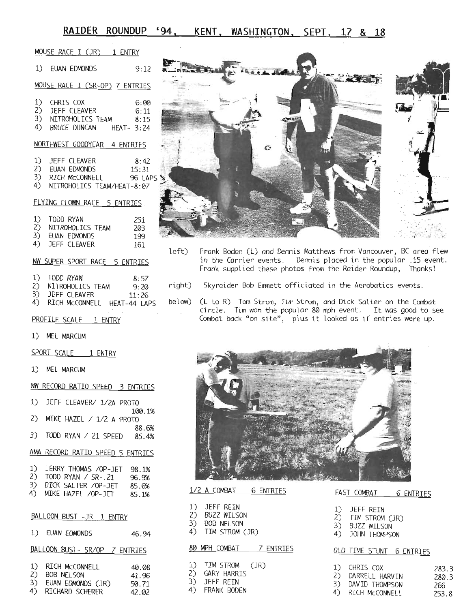# **RAIDER ROUNDUP '94 , KENT , WASHINGTON, SEPT. 17 & 18**

| MOUSE RACE I (JR) 1 ENTRY                                                                                      |      |
|----------------------------------------------------------------------------------------------------------------|------|
| 1) EUAN EDMONDS 9:12                                                                                           |      |
| MOUSE RACE I (SR-OP) 7 ENTRIES                                                                                 |      |
| 1) CHRIS COX<br>2) JEFF CLEAVER<br>3) NITROHOLICS TEAM<br>6:11<br>8:15<br>4) BRUCE DUNCAN HEAT- 3:24           | 6:00 |
| NORTHWEST GOODYEAR 4 ENTRIES                                                                                   |      |
| 1) JEFF CLEAVER 8:42<br>2) EUAN EDMONDS 15:31<br>3) RICH McCONNELL 96 LAPS<br>4) NITROHOLICS TEAM/HEAT-8:07    |      |
| FLYING CLOWN RACE 5 ENTRIES                                                                                    |      |
| 1) TODD RYAN<br>2) NITROHOLICS TEAM<br>3) EUAN EDMONDS<br>4) JEFF CLEAVER<br>251<br>203<br>199<br>161          | le   |
| NW SUPER SPORT RACE 5 ENTRIES                                                                                  |      |
| 1) TODD RYAN 8:57<br>2) NITROHOLICS TEAM 9:20 ri<br>3) JEFF CLEAVER 11:26<br>4) RICH MCCONNELL HEAT-44 LAPS be |      |
| PROFILE SCALE 1 ENTRY                                                                                          |      |
| 1) MEL MARCUM                                                                                                  |      |
| SPORT SCALE 1 ENTRY                                                                                            |      |
| 1) MEL MARCUM                                                                                                  |      |
| NW RECORD RATIO SPEED 3 ENTRIFS                                                                                |      |

|  | 1) JEFF CLEAVER/ 1/2A PROTO |        |
|--|-----------------------------|--------|
|  | 2) MIKE HAZEL / 1/2 A PROTO | 100.1% |
|  |                             | 88.6%  |
|  | 3) TODD RYAN / 21 SPEED     | 85.4%  |

#### AMA RECORD RATIO SPEED 5 ENTRIES

| 1) | JERRY THOMAS /OP-JET   | 98.1% |
|----|------------------------|-------|
| 2) | TODD RYAN / $SR-.21$   | 96.9% |
|    | 3) DICK SALTER /OP-JET | 85.6% |
|    | 4) MIKE HAZEL /OP-JET  | 85.1% |

#### BALLOON BUST -JR 1 ENTRY

| 1)                   | EUAN EDMONDS                                                         | 46.94                            |
|----------------------|----------------------------------------------------------------------|----------------------------------|
|                      | BALLOON BUST- SR/OP                                                  | 7 ENTRIES                        |
| 1)<br>2)<br>3)<br>4) | RICH MCCONNELL<br>BOB NELSON<br>EUAN EDMONDS (JR)<br>RICHARD SCHERER | 40.08<br>41.96<br>50.71<br>42.02 |



- Frank Boden (L) and Dennis Matthews from Vancouver, BC area flew in the Carrier events. Dennis placed in the popular .15 event. Frank supplied these photos from the Raider Roundup, Thanks! left)
- Skyraider Bob Emmett officiated in the Aerobatics events. right)
- .<br>below) (L to R) Tom Strom, Tim Strom, and Dick Salter on the Combat circle. Tim won the popular <sup>80</sup> mph event. It was good to see Combat back "on site", plus it looked as if entries were up.



| LA CHARDAI DENINIES                                                  | <b>FAST COMBAT 6 ENTRIES</b>                                            |
|----------------------------------------------------------------------|-------------------------------------------------------------------------|
| l) JEFF REIN<br>2) BUZZ WILSON<br>3) BOB NELSON<br>4) TIM STROM (JR) | 1) JEFF REIN<br>2) TIM STROM (JR)<br>3) BUZZ WILSON<br>4) JOHN THOMPSON |
| 30 MPH COMBAT 7 ENTRIES                                              | OLD TIME STUNT 6 ENTRIES                                                |
| L) TIM STROM (JR)                                                    | CHRIS COX<br>283 S                                                      |

| 2) |           | GARY HARRIS |  |
|----|-----------|-------------|--|
| 3) | JEFF REIN |             |  |

# 1/2 A COMBAT 6 ENTRIES FAST COMBAT 6 ENTRIES

|  | JEFF REIN |  |
|--|-----------|--|
|--|-----------|--|

- 2) TIM STROM (JR)<br>3) BUZZ WILSON
- 
- 4) JOHN THOMPSON

### IES OLD TIME STUNT 6 ENTRIES

| ) GARY HARRIS<br>2) DARRELL HARVIN<br>280.3<br>3) JEFF REIN<br>3) DAVID THOMPSON<br>266<br>D FRANK BODEN<br>4) RICH McCONNELL | L) ILM SIROM (JR) | 1) CHRIS COX | 283.3 |
|-------------------------------------------------------------------------------------------------------------------------------|-------------------|--------------|-------|
|                                                                                                                               |                   |              |       |
|                                                                                                                               |                   |              |       |
|                                                                                                                               |                   |              |       |
|                                                                                                                               |                   |              | 253.8 |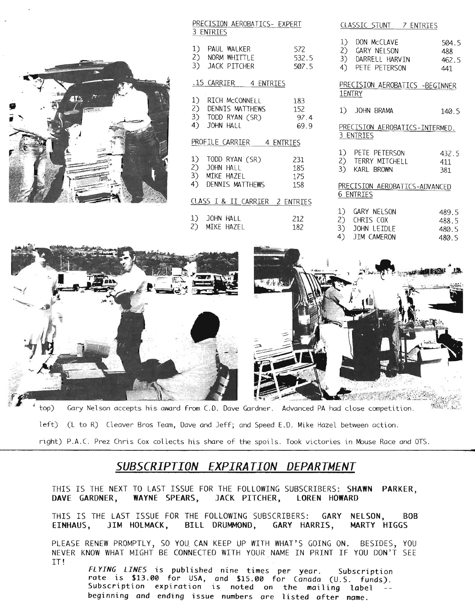#### PRECISION AEROBATICS- EXPERT 3 ENTRIES

| 1) PAUL WALKER                                  | 572   |
|-------------------------------------------------|-------|
| 2) NORM WHITTLE<br>3) JACK PITCHER              | 532.5 |
|                                                 | 507.5 |
| .15 CARRIER 4 ENTRIES                           |       |
| 1) RICH McCONNELL                               |       |
| 1) RICH McCONNELL 183<br>2) DENNIS MATTHEWS 152 |       |
| 3) TODD RYAN (SR) 97.4                          |       |
| 4) JOHN HALL                                    | 69.9  |
| PROFILE CARRIER 4 ENTRIES                       |       |
| 1) TODD RYAN (SR)                               | 231   |
| 2) JOHN HALL                                    |       |
| 3) MIKE HAZEL                                   | 175   |
| 4) DENNIS MATTHEWS                              | - 158 |
| CLASS I & II CARRIER 2 ENTRIES                  |       |
| 1) JOHN HALL                                    | 212   |
| 2) MIKE HAZEL                                   | 182   |
|                                                 |       |

|    | CLASSIC STUNT 7 ENTRIES                                                |       |                                  |
|----|------------------------------------------------------------------------|-------|----------------------------------|
| 1) | DON MCCLAVE<br>2) GARY NELSON<br>3) DARRELL HARVIN<br>4) PETE PETERSON |       | 504.5<br>488<br>462.5<br>441     |
|    | PRECISION AEROBATICS -BEGINNER<br>1ENTRY                               |       |                                  |
|    | 1) JOHN BRAMA                                                          |       | 140.5                            |
|    | PRECISION AEROBATICS-INTERMED.<br>3 ENTRIES                            |       |                                  |
|    | 1) PETE PETERSON<br>2) TERRY MITCHELL<br>3) KARL BROWN                 | 432.5 | 411<br>381                       |
|    | PRECISION AEROBATICS-ADVANCED<br>6 ENTRIES                             |       |                                  |
| 1) | GARY NELSON<br>2) CHRIS COX<br>3) JOHN LEIDLE<br>4) JIM CAMERON        |       | 489.5<br>488.5<br>480.5<br>480.5 |

**TI**



left) (L to R) Cleaver Bros Team, Dave and Jeff; and Speed E.D. Mike Hazel between action.

right) P.A.C. Prez Chris Cox collects his share of the spoils. Took victories in Mouse Race and OTS.

# *SUBSCRIPTION EXPIRATION DEPARTMENT*

THIS IS THE NEXT TO LAST ISSUE FOR THE FOLLOWING SUBSCRIBERS: SHAWN PARKER, DAVE GARDNER, WAYNE SPEARS, JACK PITCHER, LOREN HOWARD

THIS IS THE LAST ISSUE FOR THE FOLLOWING SUBSCRIBERS: GARY NELSON, BOB EINHAUS, JIM HOLMACK, BILL DRUMMOND, GARY HARRIS, MARTY HIGGS

PLEASE RENEW PROMPTLY, SO YOU CAN KEEP UP WITH WHAT'S GOING ON. BESIDES, YOU NEVER KNOW WHAT MIGHT BE CONNECTED WITH YOUR NAME IN PRINT IF YOU DON'T SEE IT!

*FL YING LINES* is published nine times per year. Subscription rate is \$13.00 for USA, and \$15.00 for Canada (U.S. funds). Subscription expiration is noted on the mailing label beginning and ending issue numbers are listed after name.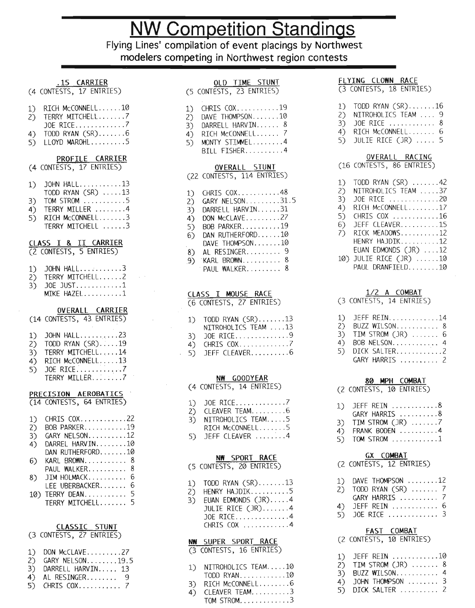# **NW Competition Standings**

**Flying Lines' compilation of event placings by Northwest modelers competing in Northwest region contests**

#### .15 CARRIER

- (4 CONTESTS, 17 ENTRIES)
- 1) RICH McCONNELL......10
- $2$ ) TERRY MITCHELL........
- JOE RICE.............7
- 4) TODD RYAN  $(SR)$ .......6
- $5$ ) LLOYD MAROHL........5

#### PROFILE CARRIER

- (4 CONTESTS, 17 ENTRIES)
- $1)$  JOHN HALL..........13
- $TODD$  RYAN  $(SR)$  .....13
- $3)$  TOM STROM  $\dots \dots \dots 5$
- $4)$  TERRY MILLER  $\ldots \ldots 4$ 5) RICH McCONNELL.......3
- TERRY MITCHELL ......3

#### CLASS <sup>I</sup> & II CARRIER

- (2 CONTESTS, 5 ENTRIES)
- $1)$  JOHN HALL..........3  $2$ ) TERRY MITCHELL......2
- $3)$  JOE JUST............1  $MIKE$   $HAZEL$ .........1

#### OVERALL CARRIER

|     | (14 CONTESTS, 43 ENTRIES) |
|-----|---------------------------|
| 1)  | JOHN $HALL$ 23            |
| (2) | TODD RYAN (SR)19          |
| 3)  | TERRY MITCHELL14          |
| 4)  | RICH McCONNELL13          |
| 5). |                           |

TERRY MILLER........7

#### PRECISION AEROBATICS (14 CONTESTS, 64 ENTRIES)

| 1)<br>2)<br>3)<br>4)<br>6) | CHRIS COX22<br>BOB PARKER19<br>GARY NELSON12<br>DARREL HARVIN10<br>$DAN$ RLTHERFORD10<br>KARL BROWN<br>8<br>PAUL WALKER<br>8 |
|----------------------------|------------------------------------------------------------------------------------------------------------------------------|
|                            |                                                                                                                              |
|                            |                                                                                                                              |
| 8).                        | 6<br>JIM HOLMACK                                                                                                             |
|                            | 6<br>LEE UBERBACKER                                                                                                          |
|                            | 5<br>10) TERRY DEAN                                                                                                          |
|                            | TERRY MITCHELL 5                                                                                                             |
|                            |                                                                                                                              |

#### CLASSIC STUNT

| (3 CONTESTS, 27 ENTRIES) |  |
|--------------------------|--|
|                          |  |
|                          |  |

- $1)$  DON McCLAVE  $\dots \dots \dots 27$ 2) GARY NELSON........19.5
- 3) DARRELL HARVIN..... 13
- $4)$  AL RESINGER........ 9
- 5) CHRIS COX 7

| OLD TIME STUNT<br>(5 CONTESTS, 23 ENTRIES)                                                                                                                                                                                     |
|--------------------------------------------------------------------------------------------------------------------------------------------------------------------------------------------------------------------------------|
| CHRIS COX19<br>1)<br>DAVE THOMPSON10<br>2)<br>3)<br>DARRELL HARVIN 8<br>-<br>4)<br>RICH MCCONNELL<br>MONTY STIMMEL4<br>5)<br>BILL FISHER4                                                                                      |
| OVERALL STUNT<br>(22 CONTESTS, 114 ENTRIES)                                                                                                                                                                                    |
| CHRIS COX. 48<br>1)<br>GARY NELSON31.5<br>DARRELL HARVIN31<br>2)<br>3)<br>DON MCCLAVE27<br>4)<br>5)<br>BOB PARKER19<br>DAN RUTHERFORD10<br>6)<br>DAVE THOMPSON10<br>AL RESINGER 9<br>8)<br>KARL BROWN 8<br>9)<br>PAUL WALKER 8 |
| CLASS I MOUSE RACE<br>(6 CONTESTS, 27 ENTRIES)                                                                                                                                                                                 |
| TODD RYAN (SR)13<br>1)<br>NITROHOLICS TEAM 13<br>3)<br>4)<br>5)<br>JOE RICE9<br>CHRIS COX7<br>JEFF CLEAVER6                                                                                                                    |
| NW GOODYEAR<br>(4 CONTESTS, 14 ENTRIES)                                                                                                                                                                                        |
| JOE RICE7<br>CLEAVER TEAM6                                                                                                                                                                                                     |

- $3)$  NITROHOLICS TEAM.... $5$
- $RICH MCCONNELL$ ......5
- $5$ ) JEFF CLEAVER  $\ldots$   $\ldots$  4

#### **NW** SPORT RACE

(5 CONTESTS, 20 ENTRIES)

- 1) TODO RYAN  $(SR)$ ......13
- $2)$  HENRY HAJDIK..........5
- $3)$  EUAN EDMONDS  $(3R)$ ....4 JULIE RICE  $(JR)$ ......4 JOE RICE.............4 CHRIS COX  $\dots \dots \dots 4$

#### **NW** SUPER SPORT RACE

(3 CONTESTS, 16 ENTRIES)

- 1) NITROHOLICS TEAM.....10  $TOP RYAN$ ...........10
- 3) RICH McCONNELL........6
- $4)$  CLEAVER TEAM.  $3$ TOM STROM.  $\dots \dots \dots 3$

#### FLYING CLOWN RACE

(3 CONTESTS, 18 ENTRIES)

- 1) TODD RYAN  $(SR)$ ......16
- 2) NITROHOLICS TEAM .... 9
- $3)$  JOE RICE ............ 8
- 4) RICH McCONNELL....... 6
- $5)$  JULIE RICE (JR)  $\ldots$  5

#### OVERALL RACING

(16 CONTESTS, 86 ENTRIES)

| 1)  | TODD RYAN (SR) 42      |
|-----|------------------------|
| (2) | NITROHOLICS TEAM 37    |
| 3)  | JOE RICE 20            |
| 4)  | RICH McCONNELL17       |
| 5)  | CHRIS COX 16           |
| 6)  | JEFF CLEAVER15         |
| 7)  | RICK MEADOWS12         |
|     | HENRY HAJDIK12         |
|     | EUAN EDMONDS (JR) 12   |
|     | 10) JULIE RICE (JR) 10 |
|     | PAUL DRANFIELD10       |
|     |                        |

#### 1/2 A COMBAT

(3 CONTESTS, 14 ENTRIES)

| 1) JEFF REIN14        |
|-----------------------|
| 2) BUZZ WILSON 8      |
| 3) TIM STROM $(JR)$ 6 |
| 4) BOB NELSON 4       |
| 5) DICK SALTER2       |
| GARY HARRIS  2        |

#### **80 Il4PH** COMBAT

(2 CONTESTS, 10 ENTRIES)

| 1) JEFF REIN 8 |  |  |  |  |  |  |  |  |
|----------------|--|--|--|--|--|--|--|--|

- GARY HARRIS  $\dots \dots \dots 8$
- 3) TIM STROM  $(JR)$  .......7
- 4) FRANK BODEN ..........4  $5)$  TOM STROM  $\dots \dots \dots 1$ 
	-

#### GX COMBAT

(2 CONTESTS, 12 ENTRIES)

| 1) DAVE THOMPSON 12<br>2) TODD RYAN $(SR)$ 7<br>GARY HARRIS  7 |
|----------------------------------------------------------------|
| 4) JEFF REIN  6<br>5) JOE RICE  3                              |

#### FAST COMBAT

#### (2 CONTESTS, 10 ENTRIES)

| 1) JEFF REIN $\dots \dots \dots \dots 10$<br>2) TIM STROM $(JR)$ 8<br>3) BUZZ WILSON 4 |  |
|----------------------------------------------------------------------------------------|--|
| 4) JOHN THOMPSON  3                                                                    |  |
| 5) DICK SALTER  2                                                                      |  |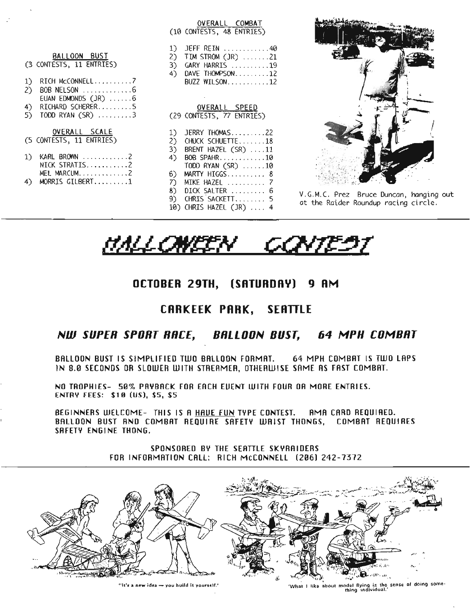|                                                                                                                                     | OVERALL COMBAT<br>(10 CONTESTS, 48 ENTRIES)                                                                                         |                                                                                 |
|-------------------------------------------------------------------------------------------------------------------------------------|-------------------------------------------------------------------------------------------------------------------------------------|---------------------------------------------------------------------------------|
| BALLOON BUST<br>(3 CONTESTS, 11 ENTRIES)                                                                                            | JEFF REIN $\ldots \ldots \ldots \ldots 40$<br>TIM STROM $(JR)$ 21<br>2)<br>GARY HARRIS 19<br>3)<br>4) DAVE THOMPSON12               |                                                                                 |
| RICH MCCONNELL7<br>1<br>BOB NELSON 6<br>$\mathcal{L}$<br>EUAN EDMONDS $(JR)$ 6<br>RICHARD SCHERER5<br>4<br>TODD RYAN $(SR)$ 3<br>5) | BUZZ WILSON12<br>OVERALL SPEED<br>(29 CONTESTS, 77 ENTRIES)                                                                         |                                                                                 |
| OVERALL SCALE<br>(5 CONTESTS, 11 ENTRIES)<br>KARL BROWN 2<br>1)                                                                     | JERRY THOMAS22<br>CHUCK SCHUETTE18<br>2)<br>3)<br>BRENT HAZEL $(SR)$ 11<br>BOB SPAHR10<br>4)                                        |                                                                                 |
| NICK STRATIS2<br>MEL MARCUM2<br>MORRIS GILBERT1<br>4)                                                                               | TODD RYAN (SR) 10<br>$6)$ MARTY HIGGS 8<br>7<br>MIKE HAZEL  7<br>8) DICK SALTER  6<br>9) CHRIS SACKETT 5<br>10) CHRIS HAZEL (JR)  4 | V.G.M.C. Prez Bruce Duncan, hanging out<br>at the Raider Roundup racing circle. |
|                                                                                                                                     |                                                                                                                                     |                                                                                 |

<u>MALOWEEN CONTEST</u>

# **OCTOBER 29TH, (SATURDRY) 9 RM**

# **[RRKEEK PRRK, SERlTLE**

# *NW SUPER SPORT RRCf, BRLLOON BUST, 64 MPH COMBRT*

BAllOON BUST IS SIMPLIFIED TWO BAllOON FORMAT. 64 MPH COMBRT IS TWO LAPS IN B.0 SECONDS OR SLOWER WITH STREAMER, OTtIERWISE SAME AS FAST COMBAT.

NO TROPHIES- 50% PAYBACK FOR EACH EUENT WITH FOUR OR MORE ENTRIES. ENTRY FEES: \$10 (US), \$5, \$5

BEGINNERS WELCOME- THIS IS A HAVE FUN TYPE CONTEST. AMA CARD REQUIRED. BALLOON BUST AND COMBAT REQUIRE SAFETY WAIST THONGS, COMBAT REQUIRES SAFETY ENGINE THONG.

> SPONSORED BY THE SEATILE SKYRAIOERS FOR INFORMATION CALL: RICH MCCONNELL (206) 242-7372



**Hit's a new idea - you build It yourself.'** 'What I like ~bout model flying is the sense of doing some-thing individual.'